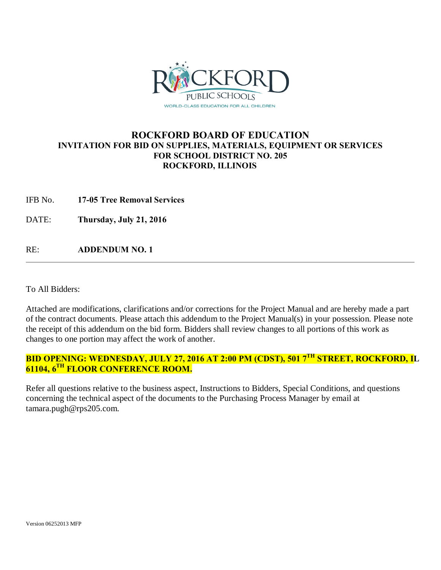

# **ROCKFORD BOARD OF EDUCATION INVITATION FOR BID ON SUPPLIES, MATERIALS, EQUIPMENT OR SERVICES FOR SCHOOL DISTRICT NO. 205 ROCKFORD, ILLINOIS**

IFB No. **17-05 Tree Removal Services**

DATE: **Thursday, July 21, 2016**

RE: **ADDENDUM NO. 1**

To All Bidders:

Attached are modifications, clarifications and/or corrections for the Project Manual and are hereby made a part of the contract documents. Please attach this addendum to the Project Manual(s) in your possession. Please note the receipt of this addendum on the bid form. Bidders shall review changes to all portions of this work as changes to one portion may affect the work of another.

# **BID OPENING: WEDNESDAY, JULY 27, 2016 AT 2:00 PM (CDST), 501 7TH STREET, ROCKFORD, IL 61104, 6TH FLOOR CONFERENCE ROOM.**

Refer all questions relative to the business aspect, Instructions to Bidders, Special Conditions, and questions concerning the technical aspect of the documents to the Purchasing Process Manager by email at tamara.pugh@rps205.com.